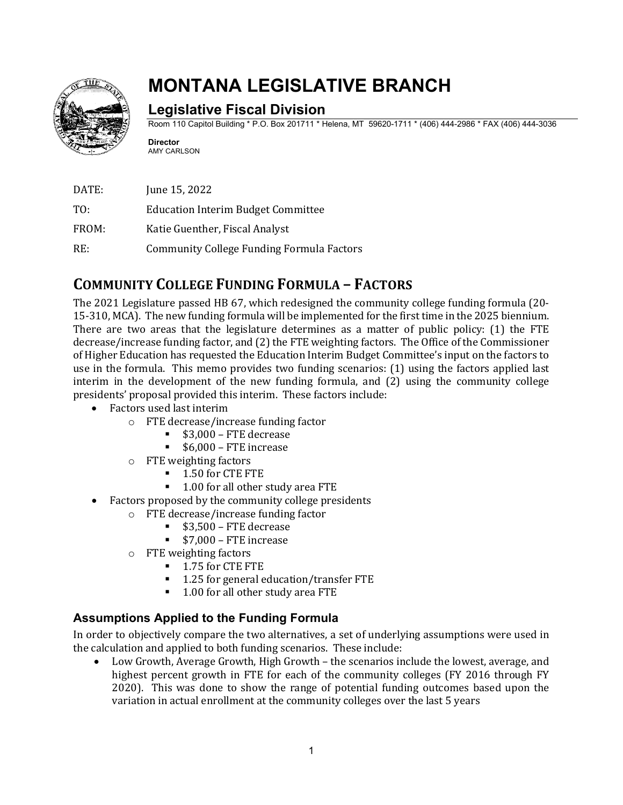

# **MONTANA LEGISLATIVE BRANCH**

# **Legislative Fiscal Division**

Room 110 Capitol Building \* P.O. Box 201711 \* Helena, MT 59620-1711 \* (406) 444-2986 \* FAX (406) 444-3036

**Director** AMY CARLSON

| DATE: | June 15, 2022                             |
|-------|-------------------------------------------|
| TO:   | <b>Education Interim Budget Committee</b> |
| FROM: | Katie Guenther, Fiscal Analyst            |
| RE:   | Community College Funding Formula Factors |

# **COMMUNITY COLLEGE FUNDING FORMULA – FACTORS**

The 2021 Legislature passed HB 67, which redesigned the community college funding formula (20- 15-310, MCA). The new funding formula will be implemented for the first time in the 2025 biennium. There are two areas that the legislature determines as a matter of public policy: (1) the FTE decrease/increase funding factor, and (2) the FTE weighting factors. The Office of the Commissioner of Higher Education has requested the Education Interim Budget Committee's input on the factors to use in the formula. This memo provides two funding scenarios: (1) using the factors applied last interim in the development of the new funding formula, and (2) using the community college presidents' proposal provided this interim. These factors include:

- Factors used last interim
	- o FTE decrease/increase funding factor
		- $$3,000$  FTE decrease<br> $$6,000$  FTE increase
		- \$6,000 FTE increase
	- o FTE weighting factors
		- 1.50 for CTE FTE
		- 1.00 for all other study area FTE
	- Factors proposed by the community college presidents
		- o FTE decrease/increase funding factor
			- **53,500 FTE decrease**
			- **57,000 FTE increase**
		- o FTE weighting factors
			- 1.75 for CTE FTE
			- 1.25 for general education/transfer FTE
			- 1.00 for all other study area FTE

#### **Assumptions Applied to the Funding Formula**

In order to objectively compare the two alternatives, a set of underlying assumptions were used in the calculation and applied to both funding scenarios. These include:

• Low Growth, Average Growth, High Growth – the scenarios include the lowest, average, and highest percent growth in FTE for each of the community colleges (FY 2016 through FY 2020). This was done to show the range of potential funding outcomes based upon the variation in actual enrollment at the community colleges over the last 5 years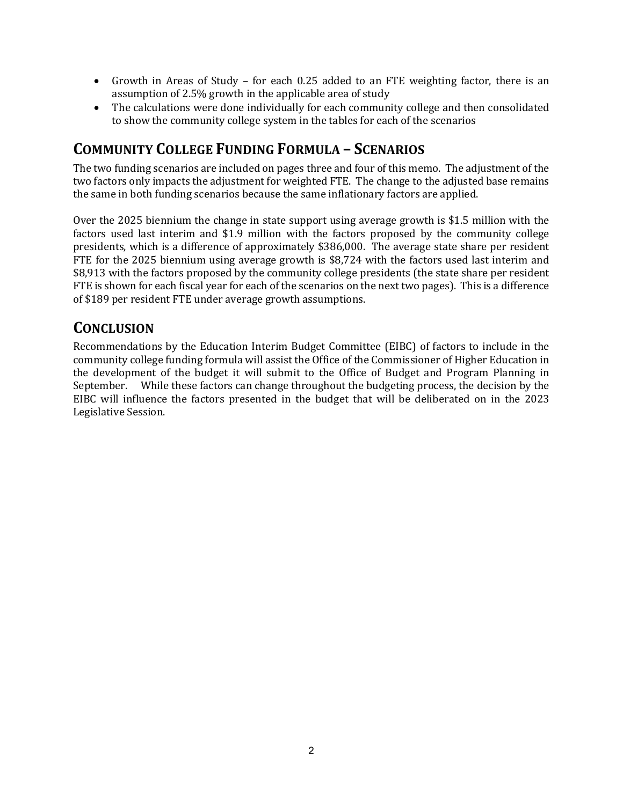- Growth in Areas of Study for each 0.25 added to an FTE weighting factor, there is an assumption of 2.5% growth in the applicable area of study
- The calculations were done individually for each community college and then consolidated to show the community college system in the tables for each of the scenarios

### **COMMUNITY COLLEGE FUNDING FORMULA – SCENARIOS**

The two funding scenarios are included on pages three and four of this memo. The adjustment of the two factors only impacts the adjustment for weighted FTE. The change to the adjusted base remains the same in both funding scenarios because the same inflationary factors are applied.

Over the 2025 biennium the change in state support using average growth is \$1.5 million with the factors used last interim and \$1.9 million with the factors proposed by the community college presidents, which is a difference of approximately \$386,000. The average state share per resident FTE for the 2025 biennium using average growth is \$8,724 with the factors used last interim and \$8,913 with the factors proposed by the community college presidents (the state share per resident FTE is shown for each fiscal year for each of the scenarios on the next two pages). This is a difference of \$189 per resident FTE under average growth assumptions.

## **CONCLUSION**

Recommendations by the Education Interim Budget Committee (EIBC) of factors to include in the community college funding formula will assist the Office of the Commissioner of Higher Education in the development of the budget it will submit to the Office of Budget and Program Planning in September. While these factors can change throughout the budgeting process, the decision by the EIBC will influence the factors presented in the budget that will be deliberated on in the 2023 Legislative Session.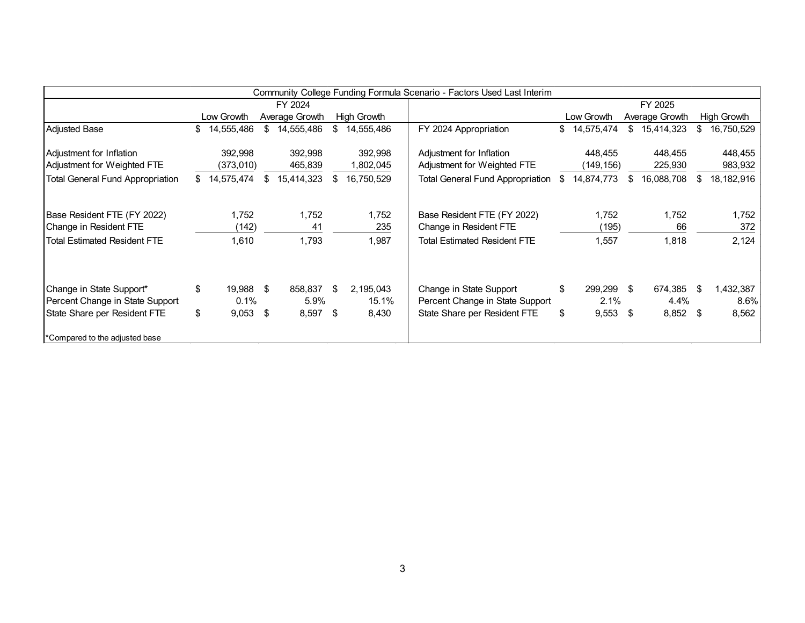|                                                                                              |          |                         |          |                          |          |                             | Community College Funding Formula Scenario - Factors Used Last Interim                       |          |                          |           |                             |     |                            |
|----------------------------------------------------------------------------------------------|----------|-------------------------|----------|--------------------------|----------|-----------------------------|----------------------------------------------------------------------------------------------|----------|--------------------------|-----------|-----------------------------|-----|----------------------------|
|                                                                                              |          |                         |          | FY 2024                  | FY 2025  |                             |                                                                                              |          |                          |           |                             |     |                            |
|                                                                                              |          | Low Growth              |          | Average Growth           |          | High Growth                 |                                                                                              |          | Low Growth               |           | Average Growth              |     | High Growth                |
| <b>Adjusted Base</b>                                                                         | \$       | 14,555,486              | \$       | 14,555,486               | \$       | 14,555,486                  | FY 2024 Appropriation                                                                        | \$       | 14,575,474               | \$        | 15,414,323                  | \$  | 16,750,529                 |
| Adjustment for Inflation<br>Adjustment for Weighted FTE                                      |          | 392,998<br>(373,010)    |          | 392,998<br>465,839       |          | 392,998<br>1,802,045        | Adjustment for Inflation<br>Adjustment for Weighted FTE                                      |          | 448,455<br>149,156)      |           | 448,455<br>225,930          |     | 448,455<br>983,932         |
| <b>Total General Fund Appropriation</b>                                                      | SS.      | 14,575,474              | \$       | 15,414,323               |          | 16,750,529                  | <b>Total General Fund Appropriation</b>                                                      | \$       | 14,874,773               | \$        | 16,088,708                  |     | 18, 182, 916               |
| Base Resident FTE (FY 2022)<br>Change in Resident FTE<br><b>Total Estimated Resident FTE</b> |          | 1,752<br>(142)<br>1,610 |          | 1,752<br>41<br>1,793     |          | 1,752<br>235<br>1,987       | Base Resident FTE (FY 2022)<br>Change in Resident FTE<br><b>Total Estimated Resident FTE</b> |          | 1,752<br>(195)<br>1,557  |           | 1,752<br>66<br>1,818        |     | 1,752<br>372<br>2,124      |
| Change in State Support*<br>Percent Change in State Support<br>State Share per Resident FTE  | \$<br>\$ | 19.988<br>0.1%<br>9,053 | \$<br>\$ | 858,837<br>5.9%<br>8,597 | \$<br>\$ | 2,195,043<br>15.1%<br>8,430 | Change in State Support<br>Percent Change in State Support<br>State Share per Resident FTE   | \$<br>\$ | 299,299<br>2.1%<br>9,553 | \$.<br>\$ | 674,385<br>4.4%<br>8,852 \$ | -\$ | 1,432,387<br>8.6%<br>8,562 |
| *Compared to the adjusted base                                                               |          |                         |          |                          |          |                             |                                                                                              |          |                          |           |                             |     |                            |